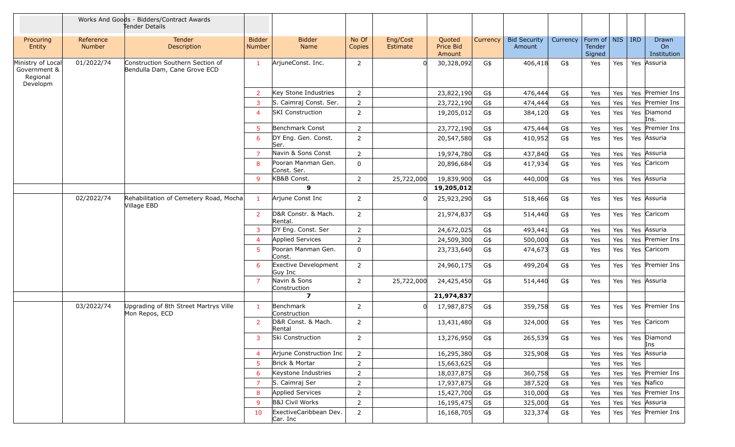|                                                           |                            | Works And Goods - Bidders/Contract Awards<br>Tender Details      |                                |                                    |                 |                      |                                      |          |                               |          |                                     |     |            |                                   |
|-----------------------------------------------------------|----------------------------|------------------------------------------------------------------|--------------------------------|------------------------------------|-----------------|----------------------|--------------------------------------|----------|-------------------------------|----------|-------------------------------------|-----|------------|-----------------------------------|
| Procuring<br>Entity                                       | Reference<br><b>Number</b> | Tender<br>Description                                            | <b>Bidder</b><br><b>Number</b> | <b>Bidder</b><br>Name              | No Of<br>Copies | Eng/Cost<br>Estimate | Quoted<br><b>Price Bid</b><br>Amount | Currency | <b>Bid Security</b><br>Amount | Currency | Form of   NIS  <br>Tender<br>Signed |     | <b>IRD</b> | Drawn<br><b>On</b><br>Institution |
| Ministry of Local<br>Government &<br>Regional<br>Developm | 01/2022/74                 | Construction Southern Section of<br>Bendulla Dam, Cane Grove ECD | $\mathbf{1}$                   | ArjuneConst. Inc.                  | $\overline{2}$  |                      | 30,328,092                           | G\$      | 406,418                       | G\$      | Yes                                 | Yes |            | Yes Assuria                       |
|                                                           |                            |                                                                  | $\overline{2}$                 | Key Stone Industries               | $\overline{2}$  |                      | 23,822,190                           | G\$      | 476,444                       | G\$      | Yes                                 | Yes |            | Yes Premier Ins                   |
|                                                           |                            |                                                                  | 3                              | S. Caimraj Const. Ser.             | $\overline{2}$  |                      | 23,722,190                           | G\$      | 474,444                       | G\$      | Yes                                 | Yes |            | Yes Premier Ins                   |
|                                                           |                            |                                                                  | $\overline{4}$                 | <b>SKI</b> Construction            | $\overline{2}$  |                      | 19,205,012                           | G\$      | 384,120                       | G\$      | Yes                                 | Yes |            | Yes Diamond<br>Ins.               |
|                                                           |                            |                                                                  | 5                              | Benchmark Const                    | $\overline{2}$  |                      | 23,772,190                           | G\$      | 475,444                       | G\$      | Yes                                 | Yes |            | Yes Premier Ins                   |
|                                                           |                            |                                                                  | -6                             | DY Eng. Gen. Const.<br>Ser.        | $\overline{2}$  |                      | 20,547,580                           | G\$      | 410,952                       | G\$      | Yes                                 | Yes |            | Yes Assuria                       |
|                                                           |                            |                                                                  | 7                              | Navin & Sons Const                 | $\overline{2}$  |                      | 19,974,780                           | G\$      | 437,840                       | G\$      | Yes                                 | Yes |            | Yes Assuria                       |
|                                                           |                            |                                                                  | 8                              | Pooran Manman Gen.<br>Const. Ser.  | 0               |                      | 20,896,684                           | G\$      | 417,934                       | G\$      | Yes                                 | Yes |            | Yes Caricom                       |
|                                                           |                            |                                                                  | -9                             | KB&B Const.                        | $\overline{2}$  | 25,722,000           | 19,839,900                           | G\$      | 440,000                       | G\$      | Yes                                 | Yes |            | Yes Assuria                       |
|                                                           |                            |                                                                  |                                | 9                                  |                 |                      | 19,205,012                           |          |                               |          |                                     |     |            |                                   |
|                                                           | 02/2022/74                 | Rehabilitation of Cemetery Road, Mocha<br>Village EBD            | $\mathbf{1}$                   | Arjune Const Inc                   | $\overline{2}$  |                      | 25,923,290                           | G\$      | 518,466                       | G\$      | Yes                                 | Yes |            | Yes Assuria                       |
|                                                           |                            |                                                                  | $\overline{2}$                 | D&R Constr. & Mach.<br>Rental.     | $\overline{2}$  |                      | 21,974,837                           | G\$      | 514,440                       | G\$      | Yes                                 | Yes |            | Yes Caricom                       |
|                                                           |                            |                                                                  | 3                              | DY Eng. Const. Ser                 | $\overline{2}$  |                      | 24,672,025                           | G\$      | 493,441                       | G\$      | Yes                                 | Yes |            | Yes Assuria                       |
|                                                           |                            |                                                                  | $\overline{4}$                 | <b>Applied Services</b>            | $\overline{2}$  |                      | 24,509,300                           | G\$      | 500,000                       | G\$      | Yes                                 | Yes |            | Yes Premier Ins                   |
|                                                           |                            |                                                                  | 5 <sup>5</sup>                 | Pooran Manman Gen.<br>Const.       | 0               |                      | 23,733,640                           | G\$      | 474,673                       | G\$      | Yes                                 | Yes |            | Yes Caricom                       |
|                                                           |                            |                                                                  | 6                              | Exective Development<br>Guy Inc    | $\overline{2}$  |                      | 24,960,175                           | G\$      | 499,204                       | G\$      | Yes                                 | Yes |            | Yes Premier Ins                   |
|                                                           |                            |                                                                  | $\overline{7}$                 | Navin & Sons<br>Construction       | $\overline{2}$  | 25,722,000           | 24,425,450                           | G\$      | 514,440                       | G\$      | Yes                                 | Yes |            | Yes Assuria                       |
|                                                           |                            |                                                                  |                                | $\overline{ }$                     |                 |                      | 21,974,837                           |          |                               |          |                                     |     |            |                                   |
|                                                           | 03/2022/74                 | Upgrading of 8th Street Martrys Ville<br>Mon Repos, ECD          | $\mathbf{1}$                   | <b>Benchmark</b><br>Construction   | $\overline{2}$  |                      | 17,987,875                           | G\$      | 359,758                       | G\$      | Yes                                 | Yes |            | Yes Premier Ins                   |
|                                                           |                            |                                                                  | 2                              | D&R Const. & Mach.<br>Rental       | $\overline{2}$  |                      | 13,431,480                           | G\$      | 324,000                       | G\$      | Yes                                 | Yes |            | Yes Caricom                       |
|                                                           |                            |                                                                  | 3                              | Ski Construction                   | 2               |                      | 13,276,950                           | G\$      | 265,539                       | G\$      | Yes                                 | Yes |            | Yes Diamond<br>Ins                |
|                                                           |                            |                                                                  | $\overline{4}$                 | Arjune Construction Inc            | $\overline{2}$  |                      | 16,295,380                           | G\$      | 325,908                       | G\$      | Yes                                 | Yes |            | Yes Assuria                       |
|                                                           |                            |                                                                  | 5                              | Brick & Mortar                     | $\overline{2}$  |                      | 15,663,625                           | G\$      |                               |          | Yes                                 | Yes | Yes        |                                   |
|                                                           |                            |                                                                  | 6                              | Keystone Industries                | $\overline{2}$  |                      | 18,037,875                           | G\$      | 360,758                       | G\$      | Yes                                 | Yes |            | Yes Premier Ins                   |
|                                                           |                            |                                                                  | $\overline{7}$                 | S. Caimraj Ser                     | $\overline{2}$  |                      | 17,937,875                           | G\$      | 387,520                       | G\$      | Yes                                 | Yes |            | Yes Nafico                        |
|                                                           |                            |                                                                  | 8                              | Applied Services                   | $\overline{2}$  |                      | 15,427,700                           | G\$      | 310,000                       | G\$      | Yes                                 | Yes |            | Yes Premier Ins                   |
|                                                           |                            |                                                                  | -9                             | <b>B&amp;J Civil Works</b>         | $\overline{2}$  |                      | 16,195,475                           | G\$      | 325,000                       | G\$      | Yes                                 | Yes |            | Yes Assuria                       |
|                                                           |                            |                                                                  | 10                             | ExectiveCaribbean Dev.<br>Car. Inc | $\overline{2}$  |                      | 16,168,705                           | G\$      | 323,374                       | G\$      | Yes                                 | Yes |            | Yes Premier Ins                   |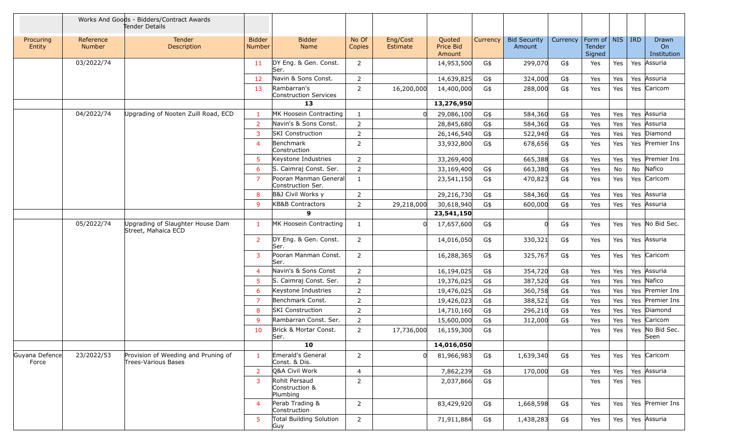|                         |                            | Works And Goods - Bidders/Contract Awards<br>Tender Details |                                |                                             |                 |                      |                                      |          |                               |          |                                         |     |            |                            |
|-------------------------|----------------------------|-------------------------------------------------------------|--------------------------------|---------------------------------------------|-----------------|----------------------|--------------------------------------|----------|-------------------------------|----------|-----------------------------------------|-----|------------|----------------------------|
| Procuring<br>Entity     | Reference<br><b>Number</b> | Tender<br>Description                                       | <b>Bidder</b><br><b>Number</b> | <b>Bidder</b><br>Name                       | No Of<br>Copies | Eng/Cost<br>Estimate | Quoted<br><b>Price Bid</b><br>Amount | Currency | <b>Bid Security</b><br>Amount | Currency | Form of $\vert$ NIS<br>Tender<br>Signed |     | <b>IRD</b> | Drawn<br>On<br>Institution |
|                         | 03/2022/74                 |                                                             | 11                             | DY Eng. & Gen. Const.<br>Ser.               | $\overline{2}$  |                      | 14,953,500                           | G\$      | 299,070                       | G\$      | Yes                                     | Yes | Yes        | Assuria                    |
|                         |                            |                                                             | 12                             | Navin & Sons Const.                         | 2               |                      | 14,639,825                           | G\$      | 324,000                       | G\$      | Yes                                     | Yes | Yes        | Assuria                    |
|                         |                            |                                                             | 13                             | Rambarran's<br>Construction Services        | 2               | 16,200,000           | 14,400,000                           | G\$      | 288,000                       | G\$      | Yes                                     | Yes |            | Yes Caricom                |
|                         |                            |                                                             |                                | 13                                          |                 |                      | 13,276,950                           |          |                               |          |                                         |     |            |                            |
|                         | 04/2022/74                 | Upgrading of Nooten Zuill Road, ECD                         | $\mathbf{1}$                   | MK Hoosein Contracting                      | 1               |                      | 29,086,100                           | G\$      | 584,360                       | G\$      | Yes                                     | Yes |            | Yes Assuria                |
|                         |                            |                                                             | 2                              | Navin's & Sons Const.                       | $\overline{2}$  |                      | 28,845,680                           | G\$      | 584,360                       | G\$      | Yes                                     | Yes | Yes        | Assuria                    |
|                         |                            |                                                             | 3                              | <b>SKI</b> Construction                     | $\overline{2}$  |                      | 26,146,540                           | G\$      | 522,940                       | G\$      | Yes                                     | Yes |            | Yes Diamond                |
|                         |                            |                                                             | $\overline{4}$                 | Benchmark<br>Construction                   | $\overline{2}$  |                      | 33,932,800                           | G\$      | 678,656                       | G\$      | Yes                                     | Yes |            | Yes Premier Ins            |
|                         |                            |                                                             | 5                              | Keystone Industries                         | 2               |                      | 33,269,400                           |          | 665,388                       | G\$      | Yes                                     | Yes |            | Yes Premier Ins            |
|                         |                            |                                                             | 6                              | S. Caimraj Const. Ser.                      | $\overline{2}$  |                      | 33,169,400                           | G\$      | 663,380                       | G\$      | Yes                                     | No  | No         | Nafico                     |
|                         |                            |                                                             | $\overline{7}$                 | Pooran Manman General<br>Construction Ser.  | 1               |                      | 23,541,150                           | G\$      | 470,823                       | G\$      | Yes                                     | Yes |            | Yes Caricom                |
|                         |                            |                                                             | 8                              | B&J Civil Works y                           | $\overline{2}$  |                      | 29,216,730                           | G\$      | 584,360                       | G\$      | Yes                                     | Yes | Yes        | Assuria                    |
|                         |                            |                                                             | 9                              | KB&B Contractors                            | $\overline{2}$  | 29,218,000           | 30,618,940                           | G\$      | 600,000                       | G\$      | Yes                                     | Yes |            | Yes Assuria                |
|                         |                            |                                                             |                                | 9                                           |                 |                      | 23,541,150                           |          |                               |          |                                         |     |            |                            |
|                         | 05/2022/74                 | Upgrading of Slaughter House Dam<br>Street, Mahaica ECD     | 1                              | MK Hoosein Contracting                      | 1               |                      | 17,657,600                           | G\$      | U                             | G\$      | Yes                                     | Yes |            | Yes No Bid Sec.            |
|                         |                            |                                                             | $\overline{2}$                 | DY Eng. & Gen. Const.<br>Ser.               | $\overline{2}$  |                      | 14,016,050                           | G\$      | 330,321                       | G\$      | Yes                                     | Yes |            | Yes Assuria                |
|                         |                            |                                                             | 3                              | Pooran Manman Const.<br>Ser.                | $\overline{2}$  |                      | 16,288,365                           | G\$      | 325,767                       | G\$      | Yes                                     | Yes |            | Yes Caricom                |
|                         |                            |                                                             | $\overline{4}$                 | Navin's & Sons Const                        | $\overline{2}$  |                      | 16,194,025                           | G\$      | 354,720                       | G\$      | Yes                                     | Yes |            | Yes Assuria                |
|                         |                            |                                                             | 5                              | S. Caimraj Const. Ser.                      | $\overline{2}$  |                      | 19,376,025                           | G\$      | 387,520                       | G\$      | Yes                                     | Yes |            | Yes Nafico                 |
|                         |                            |                                                             | 6                              | Keystone Industries                         | $\overline{2}$  |                      | 19,476,025                           | G\$      | 360,758                       | G\$      | Yes                                     | Yes |            | Yes Premier Ins            |
|                         |                            |                                                             | $\overline{7}$                 | Benchmark Const.                            | $\overline{2}$  |                      | 19,426,023                           | G\$      | 388,521                       | G\$      | Yes                                     | Yes |            | Yes Premier Ins            |
|                         |                            |                                                             | 8                              | <b>SKI</b> Construction                     | $\overline{2}$  |                      | 14,710,160                           | G\$      | 296,210                       | G\$      | Yes                                     | Yes |            | Yes Diamond                |
|                         |                            |                                                             | 9                              | Rambarran Const. Ser.                       | $\overline{2}$  |                      | 15,600,000                           | G\$      | 312,000                       | G\$      | Yes                                     | Yes | Yes        | Caricom                    |
|                         |                            |                                                             | 10                             | Brick & Mortar Const.<br>Ser.               | 2               | 17,736,000           | 16,159,300                           | G\$      |                               |          | Yes                                     | Yes |            | Yes No Bid Sec.<br>Seen    |
|                         |                            |                                                             |                                | 10                                          |                 |                      | 14,016,050                           |          |                               |          |                                         |     |            |                            |
| Guyana Defence<br>Force | 23/2022/53                 | Provision of Weeding and Pruning of<br>Trees-Various Bases  | $\mathbf{1}$                   | Emerald's General<br>Const. & Dis.          | $\overline{2}$  |                      | 81,966,983                           | G\$      | 1,639,340                     | G\$      | Yes                                     | Yes |            | Yes Caricom                |
|                         |                            |                                                             | $\overline{2}$                 | Q&A Civil Work                              | 4               |                      | 7,862,239                            | G\$      | 170,000                       | G\$      | Yes                                     | Yes |            | Yes Assuria                |
|                         |                            |                                                             | 3                              | Rohit Persaud<br>Construction &<br>Plumbing | $\overline{2}$  |                      | 2,037,866                            | G\$      |                               |          | Yes                                     | Yes | Yes        |                            |
|                         |                            |                                                             | $\overline{\mathcal{A}}$       | Perab Trading &<br>Construction             | $\overline{2}$  |                      | 83,429,920                           | G\$      | 1,668,598                     | G\$      | Yes                                     | Yes |            | Yes Premier Ins            |
|                         |                            |                                                             | 5.                             | Total Building Solution<br>Guy              | $\overline{2}$  |                      | 71,911,884                           | G\$      | 1,438,283                     | G\$      | Yes                                     | Yes |            | Yes Assuria                |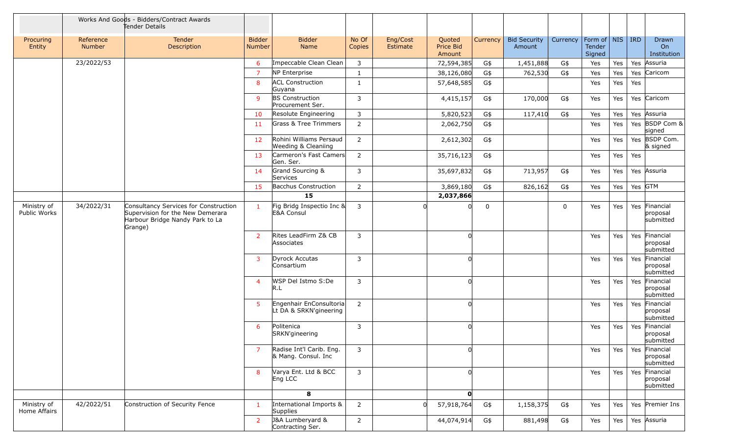|                             |                     | Works And Goods - Bidders/Contract Awards<br>Tender Details                                                             |                         |                                                   |                 |                      |                               |             |                               |             |                                     |     |            |                                        |
|-----------------------------|---------------------|-------------------------------------------------------------------------------------------------------------------------|-------------------------|---------------------------------------------------|-----------------|----------------------|-------------------------------|-------------|-------------------------------|-------------|-------------------------------------|-----|------------|----------------------------------------|
| Procuring<br>Entity         | Reference<br>Number | Tender<br>Description                                                                                                   | <b>Bidder</b><br>Number | <b>Bidder</b><br>Name                             | No Of<br>Copies | Eng/Cost<br>Estimate | Quoted<br>Price Bid<br>Amount | Currency    | <b>Bid Security</b><br>Amount | Currency    | Form of   NIS  <br>Tender<br>Signed |     | <b>IRD</b> | Drawn<br>On<br>Institution             |
|                             | 23/2022/53          |                                                                                                                         | 6                       | Impeccable Clean Clean                            | 3               |                      | 72,594,385                    | G\$         | 1,451,888                     | G\$         | Yes                                 | Yes | Yes        | Assuria                                |
|                             |                     |                                                                                                                         | $\overline{7}$          | NP Enterprise                                     | $\mathbf{1}$    |                      | 38,126,080                    | G\$         | 762,530                       | G\$         | Yes                                 | Yes |            | Yes Caricom                            |
|                             |                     |                                                                                                                         | 8                       | <b>ACL Construction</b><br>Guyana                 | $\mathbf{1}$    |                      | 57,648,585                    | G\$         |                               |             | Yes                                 | Yes | Yes        |                                        |
|                             |                     |                                                                                                                         | 9                       | <b>BS</b> Construction<br>Procurement Ser.        | 3               |                      | 4,415,157                     | G\$         | 170,000                       | G\$         | Yes                                 | Yes |            | Yes Caricom                            |
|                             |                     |                                                                                                                         | 10                      | Resolute Engineering                              | 3               |                      | 5,820,523                     | G\$         | 117,410                       | G\$         | Yes                                 | Yes |            | Yes Assuria                            |
|                             |                     |                                                                                                                         | 11                      | Grass & Tree Trimmers                             | $\overline{2}$  |                      | 2,062,750                     | G\$         |                               |             | Yes                                 | Yes |            | Yes BSDP Com &<br>signed               |
|                             |                     |                                                                                                                         | 12                      | Rohini Williams Persaud<br>Weeding & Cleaniing    | $\overline{2}$  |                      | 2,612,302                     | G\$         |                               |             | Yes                                 | Yes |            | Yes BSDP Com.<br>& signed              |
|                             |                     |                                                                                                                         | 13                      | Carmeron's Fast Camers<br>Gen. Ser.               | $\overline{2}$  |                      | 35,716,123                    | G\$         |                               |             | Yes                                 | Yes | Yes        |                                        |
|                             |                     |                                                                                                                         | 14                      | Grand Sourcing &<br>Services                      | 3               |                      | 35,697,832                    | G\$         | 713,957                       | G\$         | Yes                                 | Yes |            | Yes Assuria                            |
|                             |                     |                                                                                                                         | 15                      | <b>Bacchus Construction</b>                       | $\overline{2}$  |                      | 3,869,180                     | G\$         | 826,162                       | G\$         | Yes                                 | Yes |            | Yes GTM                                |
|                             |                     |                                                                                                                         |                         | 15                                                |                 |                      | 2,037,866                     |             |                               |             |                                     |     |            |                                        |
| Ministry of<br>Public Works | 34/2022/31          | Consultancy Services for Construction<br>Supervision for the New Demerara<br>Harbour Bridge Nandy Park to La<br>Grange) | $\mathbf{1}$            | Fig Bridg Inspectio Inc &<br>E&A Consul           | $\mathbf{3}$    |                      |                               | $\mathbf 0$ |                               | $\mathbf 0$ | Yes                                 | Yes |            | Yes Financial<br>proposal<br>submitted |
|                             |                     |                                                                                                                         | $\overline{2}$          | Rites LeadFirm Z& CB<br>Associates                | 3               |                      |                               |             |                               |             | Yes                                 | Yes |            | Yes Financial<br>proposal<br>submitted |
|                             |                     |                                                                                                                         | $\overline{3}$          | Dyrock Accutas<br>Consartium                      | 3               |                      |                               |             |                               |             | Yes                                 | Yes | Yes        | Financial<br>proposal<br>submitted     |
|                             |                     |                                                                                                                         | $\overline{4}$          | WSP Del Istmo S:De<br>R.L                         | 3               |                      | $\Omega$                      |             |                               |             | Yes                                 | Yes |            | Yes Financial<br>proposal<br>submitted |
|                             |                     |                                                                                                                         | 5                       | Engenhair EnConsultoria<br>Lt DA & SRKN'gineering | $\overline{2}$  |                      | $\Omega$                      |             |                               |             | Yes                                 | Yes |            | Yes Financial<br>proposal<br>submitted |
|                             |                     |                                                                                                                         | 6                       | Politenica<br>SRKN'gineering                      | $\mathbf{3}$    |                      |                               |             |                               |             | Yes                                 | Yes | Yes        | Financial<br>proposal<br>submitted     |
|                             |                     |                                                                                                                         | $\overline{7}$          | Radise Int'l Carib. Eng.<br>& Mang. Consul. Inc   | 3               |                      |                               |             |                               |             | Yes                                 | Yes |            | Yes Financial<br>proposal<br>submitted |
|                             |                     |                                                                                                                         | 8                       | Varya Ent. Ltd & BCC<br>Eng LCC                   | $\mathbf{3}$    |                      |                               |             |                               |             | Yes                                 | Yes |            | Yes Financial<br>proposal<br>submitted |
|                             |                     |                                                                                                                         |                         | 8                                                 |                 |                      | $\mathbf{0}$                  |             |                               |             |                                     |     |            |                                        |
| Ministry of<br>Home Affairs | 42/2022/51          | Construction of Security Fence                                                                                          | $\mathbf{1}$            | International Imports &<br>Supplies               | $\overline{2}$  |                      | 57,918,764                    | G\$         | 1,158,375                     | G\$         | Yes                                 | Yes |            | Yes Premier Ins                        |
|                             |                     |                                                                                                                         | $\overline{2}$          | J&A Lumberyard &<br>Contracting Ser.              | $\overline{2}$  |                      | 44,074,914                    | G\$         | 881,498                       | G\$         | Yes                                 | Yes |            | Yes Assuria                            |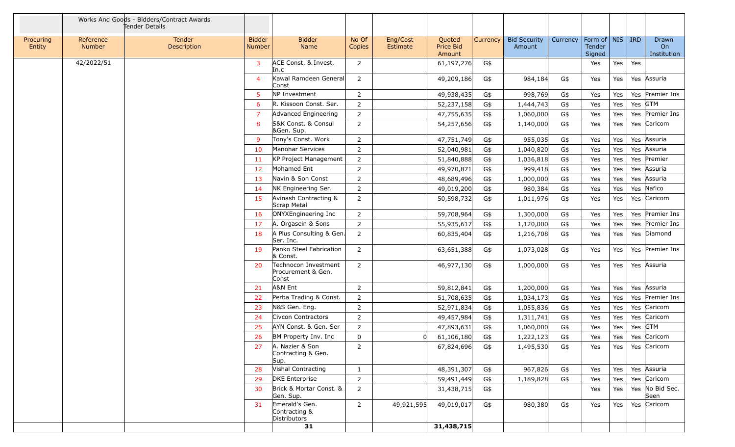|                     |                            | Works And Goods - Bidders/Contract Awards<br>Tender Details |                         |                                                     |                 |                      |                               |          |                               |          |                                         |     |         |                            |
|---------------------|----------------------------|-------------------------------------------------------------|-------------------------|-----------------------------------------------------|-----------------|----------------------|-------------------------------|----------|-------------------------------|----------|-----------------------------------------|-----|---------|----------------------------|
| Procuring<br>Entity | Reference<br><b>Number</b> | Tender<br>Description                                       | <b>Bidder</b><br>Number | <b>Bidder</b><br>Name                               | No Of<br>Copies | Eng/Cost<br>Estimate | Quoted<br>Price Bid<br>Amount | Currency | <b>Bid Security</b><br>Amount | Currency | Form of   NIS   IRD<br>Tender<br>Signed |     |         | Drawn<br>On<br>Institution |
|                     | 42/2022/51                 |                                                             | $\overline{3}$          | ACE Const. & Invest.<br>In.c                        | $\overline{2}$  |                      | 61,197,276                    | G\$      |                               |          | Yes                                     | Yes | Yes     |                            |
|                     |                            |                                                             | $\overline{4}$          | Kawal Ramdeen General<br>Const                      | $\overline{2}$  |                      | 49,209,186                    | G\$      | 984,184                       | G\$      | Yes                                     | Yes |         | Yes Assuria                |
|                     |                            |                                                             | 5                       | NP Investment                                       | $\overline{2}$  |                      | 49,938,435                    | G\$      | 998,769                       | G\$      | Yes                                     | Yes |         | Yes Premier Ins            |
|                     |                            |                                                             | 6                       | R. Kissoon Const. Ser.                              | $\overline{2}$  |                      | 52,237,158                    | G\$      | 1,444,743                     | G\$      | Yes                                     | Yes | Yes GTM |                            |
|                     |                            |                                                             | 7                       | Advanced Engineering                                | $\overline{2}$  |                      | 47,755,635                    | G\$      | 1,060,000                     | G\$      | Yes                                     | Yes |         | Yes Premier Ins            |
|                     |                            |                                                             | 8                       | S&K Const. & Consul<br>&Gen. Sup.                   | $\overline{2}$  |                      | 54,257,656                    | G\$      | 1,140,000                     | G\$      | Yes                                     | Yes |         | Yes Caricom                |
|                     |                            |                                                             | 9                       | Tony's Const. Work                                  | $\overline{2}$  |                      | 47,751,749                    | G\$      | 955,035                       | G\$      | Yes                                     | Yes |         | Yes Assuria                |
|                     |                            |                                                             | 10                      | Manohar Services                                    | $\overline{2}$  |                      | 52,040,981                    | G\$      | 1,040,820                     | G\$      | Yes                                     | Yes |         | Yes Assuria                |
|                     |                            |                                                             | 11                      | KP Project Management                               | $\overline{2}$  |                      | 51,840,888                    | G\$      | 1,036,818                     | G\$      | Yes                                     | Yes |         | Yes Premier                |
|                     |                            |                                                             | 12                      | Mohamed Ent                                         | $\overline{2}$  |                      | 49,970,871                    | G\$      | 999,418                       | G\$      | Yes                                     | Yes |         | Yes Assuria                |
|                     |                            |                                                             | 13                      | Navin & Son Const                                   | $\overline{2}$  |                      | 48,689,496                    | G\$      | 1,000,000                     | G\$      | Yes                                     | Yes |         | Yes Assuria                |
|                     |                            |                                                             | 14                      | NK Engineering Ser.                                 | $\overline{2}$  |                      | 49,019,200                    | G\$      | 980,384                       | G\$      | Yes                                     | Yes |         | Yes Nafico                 |
|                     |                            |                                                             | 15                      | Avinash Contracting &<br>Scrap Metal                | $\overline{2}$  |                      | 50,598,732                    | G\$      | 1,011,976                     | G\$      | Yes                                     | Yes |         | Yes Caricom                |
|                     |                            |                                                             | 16                      | ONYXEngineering Inc                                 | $\overline{2}$  |                      | 59,708,964                    | G\$      | 1,300,000                     | G\$      | Yes                                     | Yes |         | Yes Premier Ins            |
|                     |                            |                                                             | 17                      | A. Orgasein & Sons                                  | $\overline{2}$  |                      | 55,935,617                    | G\$      | 1,120,000                     | G\$      | Yes                                     | Yes |         | Yes Premier Ins            |
|                     |                            |                                                             | 18                      | A Plus Consulting & Gen.<br>Ser. Inc.               | $\overline{2}$  |                      | 60,835,404                    | G\$      | 1,216,708                     | G\$      | Yes                                     | Yes |         | Yes Diamond                |
|                     |                            |                                                             | 19                      | Panko Steel Fabrication<br>& Const.                 | $\overline{2}$  |                      | 63,651,388                    | G\$      | 1,073,028                     | G\$      | Yes                                     | Yes |         | Yes Premier Ins            |
|                     |                            |                                                             | 20                      | Technocon Investment<br>Procurement & Gen.<br>Const | $\overline{2}$  |                      | 46,977,130                    | G\$      | 1,000,000                     | G\$      | Yes                                     | Yes |         | Yes Assuria                |
|                     |                            |                                                             | 21                      | A&N Ent                                             | $\overline{2}$  |                      | 59,812,841                    | G\$      | 1,200,000                     | G\$      | Yes                                     | Yes |         | Yes Assuria                |
|                     |                            |                                                             | 22                      | Perba Trading & Const.                              | $\overline{2}$  |                      | 51,708,635                    | G\$      | 1,034,173                     | G\$      | Yes                                     | Yes |         | Yes Premier Ins            |
|                     |                            |                                                             | 23                      | N&S Gen. Eng.                                       | 2               |                      | 52,971,834                    | G\$      | 1,055,836                     | G\$      | Yes                                     | Yes |         | Yes Caricom                |
|                     |                            |                                                             | 24                      | Civcon Contractors                                  | 2               |                      | 49,457,984                    | G\$      | 1,311,741                     | G\$      | Yes                                     | Yes |         | Yes Caricom                |
|                     |                            |                                                             | 25                      | AYN Const. & Gen. Ser                               | $\overline{2}$  |                      | 47,893,631                    | G\$      | 1,060,000                     | G\$      | Yes                                     | Yes | Yes GTM |                            |
|                     |                            |                                                             | 26                      | BM Property Inv. Inc                                | $\mathbf{0}$    |                      | 61,106,180                    | G\$      | 1,222,123                     | G\$      | Yes                                     | Yes |         | Yes Caricom                |
|                     |                            |                                                             | 27                      | A. Nazier & Son<br>Contracting & Gen.<br>Sup.       | $\overline{2}$  |                      | 67,824,696                    | G\$      | 1,495,530                     | G\$      | Yes                                     | Yes |         | Yes Caricom                |
|                     |                            |                                                             | 28                      | Vishal Contracting                                  | $\mathbf{1}$    |                      | 48,391,307                    | G\$      | 967,826                       | G\$      | Yes                                     | Yes |         | Yes Assuria                |
|                     |                            |                                                             | 29                      | <b>DKE</b> Enterprise                               | $\overline{2}$  |                      | 59,491,449                    | G\$      | 1,189,828                     | G\$      | Yes                                     | Yes |         | Yes Caricom                |
|                     |                            |                                                             | 30                      | Brick & Mortar Const. &<br>Gen. Sup.                | $\overline{2}$  |                      | 31,438,715                    | G\$      |                               |          | Yes                                     | Yes |         | Yes No Bid Sec.<br>Seen    |
|                     |                            |                                                             | 31                      | Emerald's Gen.<br>Contracting &<br>Distributors     | $\overline{2}$  | 49,921,595           | 49,019,017                    | G\$      | 980,380                       | G\$      | Yes                                     | Yes |         | Yes Caricom                |
|                     |                            |                                                             |                         | 31                                                  |                 |                      | 31,438,715                    |          |                               |          |                                         |     |         |                            |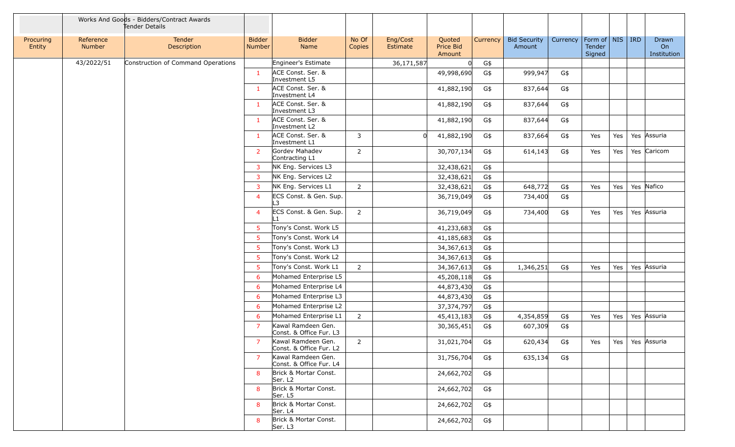|                     |                     | Works And Goods - Bidders/Contract Awards<br>Tender Details |                         |                                               |                 |                      |                               |          |                               |          |                                         |     |                            |
|---------------------|---------------------|-------------------------------------------------------------|-------------------------|-----------------------------------------------|-----------------|----------------------|-------------------------------|----------|-------------------------------|----------|-----------------------------------------|-----|----------------------------|
| Procuring<br>Entity | Reference<br>Number | Tender<br>Description                                       | <b>Bidder</b><br>Number | <b>Bidder</b><br>Name                         | No Of<br>Copies | Eng/Cost<br>Estimate | Quoted<br>Price Bid<br>Amount | Currency | <b>Bid Security</b><br>Amount | Currency | Form of   NIS   IRD<br>Tender<br>Signed |     | Drawn<br>On<br>Institution |
|                     | 43/2022/51          | Construction of Command Operations                          |                         | Engineer's Estimate                           |                 | 36,171,587           |                               | G\$      |                               |          |                                         |     |                            |
|                     |                     |                                                             | $\mathbf{1}$            | ACE Const. Ser. &<br>Investment L5            |                 |                      | 49,998,690                    | G\$      | 999,947                       | G\$      |                                         |     |                            |
|                     |                     |                                                             | $\mathbf{1}$            | ACE Const. Ser. &<br>Investment L4            |                 |                      | 41,882,190                    | G\$      | 837,644                       | G\$      |                                         |     |                            |
|                     |                     |                                                             | $\mathbf{1}$            | ACE Const. Ser. &<br>Investment L3            |                 |                      | 41,882,190                    | G\$      | 837,644                       | G\$      |                                         |     |                            |
|                     |                     |                                                             | $\mathbf{1}$            | ACE Const. Ser. &<br>Investment L2            |                 |                      | 41,882,190                    | G\$      | 837,644                       | G\$      |                                         |     |                            |
|                     |                     |                                                             | $\mathbf{1}$            | ACE Const. Ser. &<br>Investment L1            | 3               |                      | 41,882,190                    | G\$      | 837,664                       | G\$      | Yes                                     | Yes | Yes Assuria                |
|                     |                     |                                                             | $\overline{2}$          | Gordev Mahadev<br>Contracting L1              | $\overline{2}$  |                      | 30,707,134                    | G\$      | 614,143                       | G\$      | Yes                                     | Yes | Yes Caricom                |
|                     |                     |                                                             | $\mathbf{3}$            | NK Eng. Services L3                           |                 |                      | 32,438,621                    | G\$      |                               |          |                                         |     |                            |
|                     |                     |                                                             | $\mathbf{3}$            | NK Eng. Services L2                           |                 |                      | 32,438,621                    | G\$      |                               |          |                                         |     |                            |
|                     |                     |                                                             | $\overline{3}$          | NK Eng. Services L1                           | $\overline{2}$  |                      | 32,438,621                    | G\$      | 648,772                       | G\$      | Yes                                     | Yes | Yes Nafico                 |
|                     |                     |                                                             | $\overline{4}$          | ECS Const. & Gen. Sup.<br>L3                  |                 |                      | 36,719,049                    | G\$      | 734,400                       | G\$      |                                         |     |                            |
|                     |                     |                                                             | $\overline{4}$          | ECS Const. & Gen. Sup.                        | $2^{\circ}$     |                      | 36,719,049                    | G\$      | 734,400                       | G\$      | Yes                                     | Yes | Yes Assuria                |
|                     |                     |                                                             | 5                       | Tony's Const. Work L5                         |                 |                      | 41,233,683                    | G\$      |                               |          |                                         |     |                            |
|                     |                     |                                                             | 5 <sup>1</sup>          | Tony's Const. Work L4                         |                 |                      | 41,185,683                    | G\$      |                               |          |                                         |     |                            |
|                     |                     |                                                             | 5 <sup>1</sup>          | Tony's Const. Work L3                         |                 |                      | 34, 367, 613                  | G\$      |                               |          |                                         |     |                            |
|                     |                     |                                                             | 5 <sup>1</sup>          | Tony's Const. Work L2                         |                 |                      | 34, 367, 613                  | G\$      |                               |          |                                         |     |                            |
|                     |                     |                                                             | 5 <sup>5</sup>          | Tony's Const. Work L1                         | $\overline{2}$  |                      | 34, 367, 613                  | G\$      | 1,346,251                     | G\$      | Yes                                     | Yes | Yes Assuria                |
|                     |                     |                                                             | 6                       | Mohamed Enterprise L5                         |                 |                      | 45,208,118                    | G\$      |                               |          |                                         |     |                            |
|                     |                     |                                                             | 6                       | Mohamed Enterprise L4                         |                 |                      | 44,873,430                    | G\$      |                               |          |                                         |     |                            |
|                     |                     |                                                             | 6                       | Mohamed Enterprise L3                         |                 |                      | 44,873,430                    | G\$      |                               |          |                                         |     |                            |
|                     |                     |                                                             | 6                       | Mohamed Enterprise L2                         |                 |                      | 37,374,797                    | G\$      |                               |          |                                         |     |                            |
|                     |                     |                                                             | 6                       | Mohamed Enterprise L1                         | $\overline{2}$  |                      | 45,413,183                    | G\$      | 4,354,859                     | G\$      | Yes                                     | Yes | Yes Assuria                |
|                     |                     |                                                             | $\overline{7}$          | Kawal Ramdeen Gen.<br>Const. & Office Fur. L3 |                 |                      | 30,365,451                    | G\$      | 607,309                       | G\$      |                                         |     |                            |
|                     |                     |                                                             |                         | Kawal Ramdeen Gen.<br>Const. & Office Fur. L2 | 2               |                      | 31,021,704                    | G\$      | 620,434                       | G\$      | Yes                                     |     | Yes   Yes   Assuria        |
|                     |                     |                                                             | $\overline{7}$          | Kawal Ramdeen Gen.<br>Const. & Office Fur. L4 |                 |                      | 31,756,704                    | G\$      | 635,134                       | G\$      |                                         |     |                            |
|                     |                     |                                                             | 8                       | Brick & Mortar Const.<br>Ser. L <sub>2</sub>  |                 |                      | 24,662,702                    | G\$      |                               |          |                                         |     |                            |
|                     |                     |                                                             | 8                       | Brick & Mortar Const.<br>Ser. L5              |                 |                      | 24,662,702                    | G\$      |                               |          |                                         |     |                            |
|                     |                     |                                                             | 8                       | Brick & Mortar Const.<br>Ser. L4              |                 |                      | 24,662,702                    | G\$      |                               |          |                                         |     |                            |
|                     |                     |                                                             | 8                       | Brick & Mortar Const.<br>Ser. L3              |                 |                      | 24,662,702                    | G\$      |                               |          |                                         |     |                            |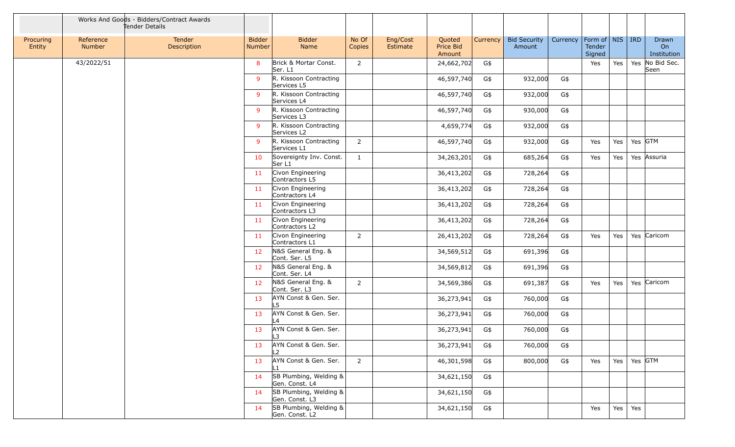|                     |                            | Works And Goods - Bidders/Contract Awards<br>Tender Details |                         |                                          |                 |                      |                               |          |                               |          |                                         |     |         |                            |
|---------------------|----------------------------|-------------------------------------------------------------|-------------------------|------------------------------------------|-----------------|----------------------|-------------------------------|----------|-------------------------------|----------|-----------------------------------------|-----|---------|----------------------------|
| Procuring<br>Entity | Reference<br><b>Number</b> | Tender<br>Description                                       | <b>Bidder</b><br>Number | <b>Bidder</b><br>Name                    | No Of<br>Copies | Eng/Cost<br>Estimate | Quoted<br>Price Bid<br>Amount | Currency | <b>Bid Security</b><br>Amount | Currency | Form of   NIS   IRD<br>Tender<br>Signed |     |         | Drawn<br>On<br>Institution |
|                     | 43/2022/51                 |                                                             | 8                       | Brick & Mortar Const.<br>Ser. L1         | $\overline{2}$  |                      | 24,662,702                    | G\$      |                               |          | Yes                                     | Yes |         | Yes No Bid Sec.<br>Seen    |
|                     |                            |                                                             | 9                       | R. Kissoon Contracting<br>Services L5    |                 |                      | 46,597,740                    | G\$      | 932,000                       | G\$      |                                         |     |         |                            |
|                     |                            |                                                             | 9                       | R. Kissoon Contracting<br>Services L4    |                 |                      | 46,597,740                    | G\$      | 932,000                       | G\$      |                                         |     |         |                            |
|                     |                            |                                                             | 9                       | R. Kissoon Contracting<br>Services L3    |                 |                      | 46,597,740                    | G\$      | 930,000                       | G\$      |                                         |     |         |                            |
|                     |                            |                                                             | 9                       | R. Kissoon Contracting<br>Services L2    |                 |                      | 4,659,774                     | G\$      | 932,000                       | G\$      |                                         |     |         |                            |
|                     |                            |                                                             | 9                       | R. Kissoon Contracting<br>Services L1    | $\overline{2}$  |                      | 46,597,740                    | G\$      | 932,000                       | G\$      | Yes                                     | Yes | Yes GTM |                            |
|                     |                            |                                                             | 10                      | Sovereignty Inv. Const.<br>Ser L1        | $\mathbf{1}$    |                      | 34,263,201                    | G\$      | 685,264                       | G\$      | Yes                                     | Yes |         | Yes Assuria                |
|                     |                            |                                                             | 11                      | Civon Engineering<br>Contractors L5      |                 |                      | 36,413,202                    | G\$      | 728,264                       | G\$      |                                         |     |         |                            |
|                     |                            |                                                             | 11                      | Civon Engineering<br>Contractors L4      |                 |                      | 36,413,202                    | G\$      | 728,264                       | G\$      |                                         |     |         |                            |
|                     |                            |                                                             | 11                      | Civon Engineering<br>Contractors L3      |                 |                      | 36,413,202                    | G\$      | 728,264                       | G\$      |                                         |     |         |                            |
|                     |                            |                                                             | 11                      | Civon Engineering<br>Contractors L2      |                 |                      | 36,413,202                    | G\$      | 728,264                       | G\$      |                                         |     |         |                            |
|                     |                            |                                                             | 11                      | Civon Engineering<br>Contractors L1      | $\overline{2}$  |                      | 26,413,202                    | G\$      | 728,264                       | G\$      | Yes                                     | Yes |         | Yes Caricom                |
|                     |                            |                                                             | 12                      | N&S General Eng. &<br>Cont. Ser. L5      |                 |                      | 34,569,512                    | G\$      | 691,396                       | G\$      |                                         |     |         |                            |
|                     |                            |                                                             | 12                      | N&S General Eng. &<br>Cont. Ser. L4      |                 |                      | 34,569,812                    | G\$      | 691,396                       | G\$      |                                         |     |         |                            |
|                     |                            |                                                             | 12                      | N&S General Eng. &<br>Cont. Ser. L3      | $\overline{2}$  |                      | 34,569,386                    | G\$      | 691,387                       | G\$      | Yes                                     | Yes |         | Yes Caricom                |
|                     |                            |                                                             | 13                      | AYN Const & Gen. Ser.<br>L5              |                 |                      | 36,273,941                    | G\$      | 760,000                       | G\$      |                                         |     |         |                            |
|                     |                            |                                                             | 13                      | AYN Const & Gen. Ser.<br>L4              |                 |                      | 36,273,941                    | G\$      | 760,000                       | G\$      |                                         |     |         |                            |
|                     |                            |                                                             | 13                      | AYN Const & Gen. Ser.<br>L3              |                 |                      | 36,273,941                    | G\$      | 760,000                       | G\$      |                                         |     |         |                            |
|                     |                            |                                                             | 13                      | AYN Const & Gen. Ser.<br>L <sub>2</sub>  |                 |                      | 36,273,941                    | G\$      | 760,000                       | G\$      |                                         |     |         |                            |
|                     |                            |                                                             | 13                      | AYN Const & Gen. Ser.<br>L1              | $\overline{2}$  |                      | 46,301,598                    | G\$      | 800,000                       | G\$      | Yes                                     | Yes | Yes GTM |                            |
|                     |                            |                                                             | 14                      | SB Plumbing, Welding &<br>Gen. Const. L4 |                 |                      | 34,621,150                    | G\$      |                               |          |                                         |     |         |                            |
|                     |                            |                                                             | 14                      | SB Plumbing, Welding &<br>Gen. Const. L3 |                 |                      | 34,621,150                    | G\$      |                               |          |                                         |     |         |                            |
|                     |                            |                                                             | 14                      | SB Plumbing, Welding &<br>Gen. Const. L2 |                 |                      | 34,621,150                    | G\$      |                               |          | Yes                                     | Yes | Yes     |                            |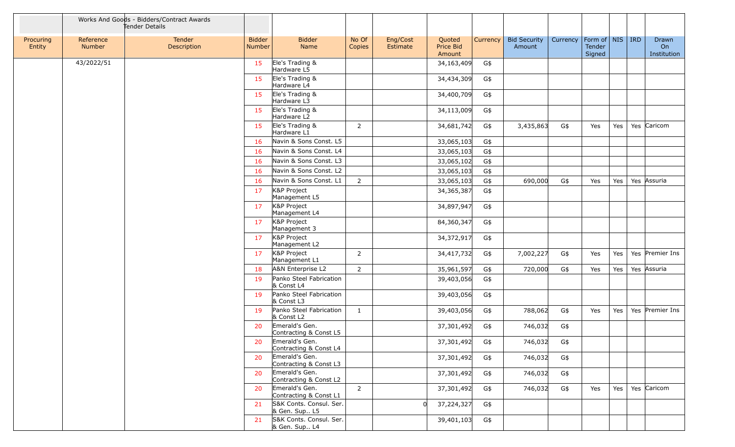|                     |                     | Works And Goods - Bidders/Contract Awards<br>Tender Details |                                |                                          |                 |                      |                               |          |                               |          |                                   |     |            |                            |
|---------------------|---------------------|-------------------------------------------------------------|--------------------------------|------------------------------------------|-----------------|----------------------|-------------------------------|----------|-------------------------------|----------|-----------------------------------|-----|------------|----------------------------|
| Procuring<br>Entity | Reference<br>Number | Tender<br>Description                                       | <b>Bidder</b><br><b>Number</b> | <b>Bidder</b><br>Name                    | No Of<br>Copies | Eng/Cost<br>Estimate | Quoted<br>Price Bid<br>Amount | Currency | <b>Bid Security</b><br>Amount | Currency | Form of   NIS<br>Tender<br>Signed |     | <b>IRD</b> | Drawn<br>On<br>Institution |
|                     | 43/2022/51          |                                                             | 15                             | Ele's Trading &<br>Hardware L5           |                 |                      | 34,163,409                    | G\$      |                               |          |                                   |     |            |                            |
|                     |                     |                                                             | 15                             | Ele's Trading &<br>Hardware L4           |                 |                      | 34,434,309                    | G\$      |                               |          |                                   |     |            |                            |
|                     |                     |                                                             | 15                             | Ele's Trading &<br>Hardware L3           |                 |                      | 34,400,709                    | G\$      |                               |          |                                   |     |            |                            |
|                     |                     |                                                             | 15                             | Ele's Trading &<br>Hardware L2           |                 |                      | 34,113,009                    | G\$      |                               |          |                                   |     |            |                            |
|                     |                     |                                                             | 15                             | Ele's Trading &<br>Hardware L1           | $\overline{2}$  |                      | 34,681,742                    | G\$      | 3,435,863                     | G\$      | Yes                               | Yes |            | Yes Caricom                |
|                     |                     |                                                             | 16                             | Navin & Sons Const. L5                   |                 |                      | 33,065,103                    | G\$      |                               |          |                                   |     |            |                            |
|                     |                     |                                                             | 16                             | Navin & Sons Const. L4                   |                 |                      | 33,065,103                    | G\$      |                               |          |                                   |     |            |                            |
|                     |                     |                                                             | 16                             | Navin & Sons Const. L3                   |                 |                      | 33,065,102                    | G\$      |                               |          |                                   |     |            |                            |
|                     |                     |                                                             | 16                             | Navin & Sons Const. L2                   |                 |                      | 33,065,103                    | G\$      |                               |          |                                   |     |            |                            |
|                     |                     |                                                             | 16                             | Navin & Sons Const. L1                   | $\overline{2}$  |                      | 33,065,103                    | G\$      | 690,000                       | G\$      | Yes                               | Yes |            | Yes Assuria                |
|                     |                     |                                                             | 17                             | K&P Project<br>Management L5             |                 |                      | 34,365,387                    | G\$      |                               |          |                                   |     |            |                            |
|                     |                     |                                                             | 17                             | K&P Project<br>Management L4             |                 |                      | 34,897,947                    | G\$      |                               |          |                                   |     |            |                            |
|                     |                     |                                                             | 17                             | K&P Project<br>Management 3              |                 |                      | 84,360,347                    | G\$      |                               |          |                                   |     |            |                            |
|                     |                     |                                                             | 17                             | K&P Project<br>Management L2             |                 |                      | 34,372,917                    | G\$      |                               |          |                                   |     |            |                            |
|                     |                     |                                                             | 17                             | K&P Project<br>Management L1             | $\overline{2}$  |                      | 34,417,732                    | G\$      | 7,002,227                     | G\$      | Yes                               | Yes |            | Yes Premier Ins            |
|                     |                     |                                                             | 18                             | A&N Enterprise L2                        | $\overline{2}$  |                      | 35,961,597                    | G\$      | 720,000                       | G\$      | Yes                               | Yes |            | Yes Assuria                |
|                     |                     |                                                             | 19                             | Panko Steel Fabrication<br>& Const L4    |                 |                      | 39,403,056                    | G\$      |                               |          |                                   |     |            |                            |
|                     |                     |                                                             | 19                             | Panko Steel Fabrication<br>& Const L3    |                 |                      | 39,403,056                    | G\$      |                               |          |                                   |     |            |                            |
|                     |                     |                                                             | 19                             | Panko Steel Fabrication<br>& Const L2    | $\mathbf{1}$    |                      | 39,403,056                    | G\$      | 788,062                       | G\$      | Yes                               | Yes |            | Yes Premier Ins            |
|                     |                     |                                                             | 20                             | Emerald's Gen.<br>Contracting & Const L5 |                 |                      | 37,301,492                    | G\$      | 746,032                       | G\$      |                                   |     |            |                            |
|                     |                     |                                                             | 20                             | Emerald's Gen.<br>Contracting & Const L4 |                 |                      | 37,301,492                    | G\$      | 746,032                       | G\$      |                                   |     |            |                            |
|                     |                     |                                                             | 20                             | Emerald's Gen.<br>Contracting & Const L3 |                 |                      | 37,301,492                    | G\$      | 746,032                       | G\$      |                                   |     |            |                            |
|                     |                     |                                                             | 20                             | Emerald's Gen.<br>Contracting & Const L2 |                 |                      | 37,301,492                    | G\$      | 746,032                       | G\$      |                                   |     |            |                            |
|                     |                     |                                                             | 20                             | Emerald's Gen.<br>Contracting & Const L1 | $2^{\circ}$     |                      | 37,301,492                    | G\$      | 746,032                       | G\$      | Yes                               | Yes |            | Yes Caricom                |
|                     |                     |                                                             | 21                             | S&K Conts. Consul. Ser.<br>& Gen. Sup L5 |                 | $\Omega$             | 37,224,327                    | G\$      |                               |          |                                   |     |            |                            |
|                     |                     |                                                             | 21                             | S&K Conts. Consul. Ser.<br>& Gen. Sup L4 |                 |                      | 39,401,103                    | G\$      |                               |          |                                   |     |            |                            |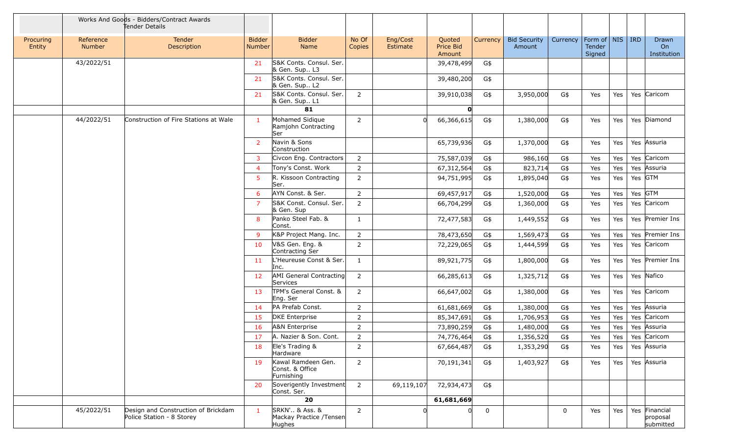|                     |                     | Works And Goods - Bidders/Contract Awards<br>Tender Details      |                                |                                                     |                 |                      |                               |             |                               |             |                                         |     |                                        |
|---------------------|---------------------|------------------------------------------------------------------|--------------------------------|-----------------------------------------------------|-----------------|----------------------|-------------------------------|-------------|-------------------------------|-------------|-----------------------------------------|-----|----------------------------------------|
| Procuring<br>Entity | Reference<br>Number | <b>Tender</b><br>Description                                     | <b>Bidder</b><br><b>Number</b> | <b>Bidder</b><br>Name                               | No Of<br>Copies | Eng/Cost<br>Estimate | Quoted<br>Price Bid<br>Amount | Currency    | <b>Bid Security</b><br>Amount | Currency    | Form of   NIS   IRD<br>Tender<br>Signed |     | Drawn<br>On<br>Institution             |
|                     | 43/2022/51          |                                                                  | 21                             | S&K Conts. Consul. Ser.<br>& Gen. Sup L3            |                 |                      | 39,478,499                    | G\$         |                               |             |                                         |     |                                        |
|                     |                     |                                                                  | 21                             | S&K Conts. Consul. Ser.<br>& Gen. Sup L2            |                 |                      | 39,480,200                    | G\$         |                               |             |                                         |     |                                        |
|                     |                     |                                                                  | 21                             | S&K Conts. Consul. Ser.<br>& Gen. Sup L1            | $\overline{2}$  |                      | 39,910,038                    | G\$         | 3,950,000                     | G\$         | Yes                                     | Yes | Yes Caricom                            |
|                     |                     |                                                                  |                                | 81                                                  |                 |                      | 0                             |             |                               |             |                                         |     |                                        |
|                     | 44/2022/51          | Construction of Fire Stations at Wale                            | $\mathbf{1}$                   | Mohamed Sidique<br>Ramjohn Contracting<br>Ser       | $\overline{2}$  | $\Omega$             | 66,366,615                    | G\$         | 1,380,000                     | G\$         | Yes                                     | Yes | Yes Diamond                            |
|                     |                     |                                                                  | <sup>2</sup>                   | Navin & Sons<br>Construction                        |                 |                      | 65,739,936                    | G\$         | 1,370,000                     | G\$         | Yes                                     | Yes | Yes Assuria                            |
|                     |                     |                                                                  | 3                              | Civcon Eng. Contractors                             | $\overline{2}$  |                      | 75,587,039                    | G\$         | 986,160                       | G\$         | Yes                                     | Yes | Yes Caricom                            |
|                     |                     |                                                                  | $\overline{4}$                 | Tony's Const. Work                                  | $\overline{2}$  |                      | 67,312,564                    | G\$         | 823,714                       | G\$         | Yes                                     | Yes | Yes Assuria                            |
|                     |                     |                                                                  | $5^{\circ}$                    | R. Kissoon Contracting<br>Ser.                      | $\overline{2}$  |                      | 94,751,995                    | G\$         | 1,895,040                     | G\$         | Yes                                     | Yes | Yes GTM                                |
|                     |                     |                                                                  | 6                              | AYN Const. & Ser.                                   | $\overline{2}$  |                      | 69,457,917                    | G\$         | 1,520,000                     | G\$         | Yes                                     | Yes | Yes GTM                                |
|                     |                     |                                                                  | $\overline{7}$                 | S&K Const. Consul. Ser.<br>& Gen. Sup               | $\overline{2}$  |                      | 66,704,299                    | G\$         | 1,360,000                     | G\$         | Yes                                     | Yes | Yes Caricom                            |
|                     |                     |                                                                  | 8                              | Panko Steel Fab. &<br>Const.                        | $\mathbf{1}$    |                      | 72,477,583                    | G\$         | 1,449,552                     | G\$         | Yes                                     | Yes | Yes Premier Ins                        |
|                     |                     |                                                                  | 9                              | K&P Project Mang. Inc.                              | $\overline{2}$  |                      | 78,473,650                    | G\$         | 1,569,473                     | G\$         | Yes                                     | Yes | Yes Premier Ins                        |
|                     |                     |                                                                  | 10                             | V&S Gen. Eng. &<br>Contracting Ser                  | $\overline{2}$  |                      | 72,229,065                    | G\$         | 1,444,599                     | G\$         | Yes                                     | Yes | Yes Caricom                            |
|                     |                     |                                                                  | 11                             | L'Heureuse Const & Ser.<br>Inc.                     | $\mathbf{1}$    |                      | 89,921,775                    | G\$         | 1,800,000                     | G\$         | Yes                                     | Yes | Yes Premier Ins                        |
|                     |                     |                                                                  | 12                             | <b>AMI General Contracting</b><br>Services          | $\overline{2}$  |                      | 66,285,613                    | G\$         | 1,325,712                     | G\$         | Yes                                     | Yes | Yes Nafico                             |
|                     |                     |                                                                  | 13                             | TPM's General Const. &<br>Eng. Ser                  | $\overline{2}$  |                      | 66,647,002                    | G\$         | 1,380,000                     | G\$         | Yes                                     | Yes | Yes Caricom                            |
|                     |                     |                                                                  | 14                             | PA Prefab Const.                                    | $\overline{2}$  |                      | 61,681,669                    | G\$         | 1,380,000                     | G\$         | Yes                                     | Yes | Yes Assuria                            |
|                     |                     |                                                                  | 15                             | <b>DKE</b> Enterprise                               | $\overline{2}$  |                      | 85,347,691                    | G\$         | 1,706,953                     | G\$         | Yes                                     | Yes | Yes Caricom                            |
|                     |                     |                                                                  | 16                             | A&N Enterprise                                      | $\overline{2}$  |                      | 73,890,259                    | G\$         | 1,480,000                     | G\$         | Yes                                     | Yes | Yes Assuria                            |
|                     |                     |                                                                  | 17                             | A. Nazier & Son. Cont.                              | 2               |                      | 74,776,464                    | G\$         | 1,356,520                     | G\$         | Yes                                     | Yes | Yes Caricom                            |
|                     |                     |                                                                  | 18                             | Ele's Trading &<br>Hardware                         | $\overline{2}$  |                      | 67,664,487                    | G\$         | 1,353,290                     | G\$         | Yes                                     | Yes | Yes Assuria                            |
|                     |                     |                                                                  | 19                             | Kawal Ramdeen Gen.<br>Const. & Office<br>Furnishing | $\overline{2}$  |                      | 70,191,341                    | G\$         | 1,403,927                     | G\$         | Yes                                     | Yes | Yes Assuria                            |
|                     |                     |                                                                  | 20                             | Soverigently Investment<br>Const. Ser.              | $\overline{2}$  | 69,119,107           | 72,934,473                    | G\$         |                               |             |                                         |     |                                        |
|                     |                     |                                                                  |                                | 20                                                  |                 |                      | 61,681,669                    |             |                               |             |                                         |     |                                        |
|                     | 45/2022/51          | Design and Construction of Brickdam<br>Police Station - 8 Storey | $\mathbf{1}$                   | SRKN' & Ass. &<br>Mackay Practice /Tensen<br>Hughes | $\overline{2}$  |                      |                               | $\mathsf 0$ |                               | $\mathbf 0$ | Yes                                     | Yes | Yes Financial<br>proposal<br>submitted |